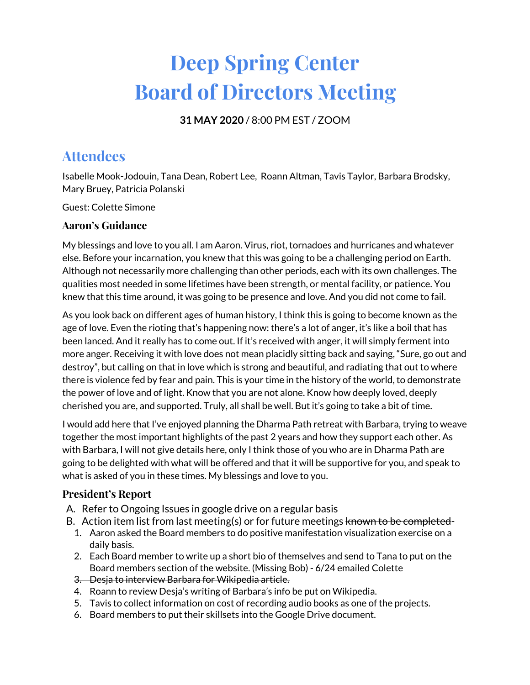# **Deep Spring Center Board of Directors Meeting**

**31 MAY 2020** / 8:00 PM EST / ZOOM

# **Attendees**

Isabelle Mook-Jodouin, Tana Dean, Robert Lee, Roann Altman, Tavis Taylor, Barbara Brodsky, Mary Bruey, Patricia Polanski

Guest: Colette Simone

# **Aaron's Guidance**

My blessings and love to you all. I am Aaron. Virus, riot, tornadoes and hurricanes and whatever else. Before your incarnation, you knew that this was going to be a challenging period on Earth. Although not necessarily more challenging than other periods, each with its own challenges. The qualities most needed in some lifetimes have been strength, or mental facility, or patience. You knew that this time around, it was going to be presence and love. And you did not come to fail.

As you look back on different ages of human history, I think this is going to become known as the age of love. Even the rioting that's happening now: there's a lot of anger, it's like a boil that has been lanced. And it really has to come out. If it's received with anger, it will simply ferment into more anger. Receiving it with love does not mean placidly sitting back and saying, "Sure, go out and destroy", but calling on that in love which is strong and beautiful, and radiating that out to where there is violence fed by fear and pain. This is your time in the history of the world, to demonstrate the power of love and of light. Know that you are not alone. Know how deeply loved, deeply cherished you are, and supported. Truly, all shall be well. But it's going to take a bit of time.

I would add here that I've enjoyed planning the Dharma Path retreat with Barbara, trying to weave together the most important highlights of the past 2 years and how they support each other. As with Barbara, I will not give details here, only I think those of you who are in Dharma Path are going to be delighted with what will be offered and that it will be supportive for you, and speak to what is asked of you in these times. My blessings and love to you.

# **President's Report**

- A. Refer to Ongoing Issues in google drive on a regular basis
- B. Action item list from last meeting(s) or for future meetings known to be completed-
	- 1. Aaron asked the Board members to do positive manifestation visualization exercise on a daily basis.
	- 2. Each Board member to write up a short bio of themselves and send to Tana to put on the Board members section of the website. (Missing Bob) - 6/24 emailed Colette
	- 3. Desja to interview Barbara for Wikipedia article.
	- 4. Roann to review Desja's writing of Barbara's info be put on Wikipedia.
	- 5. Tavis to collect information on cost of recording audio books as one of the projects.
	- 6. Board members to put their skillsets into the Google Drive document.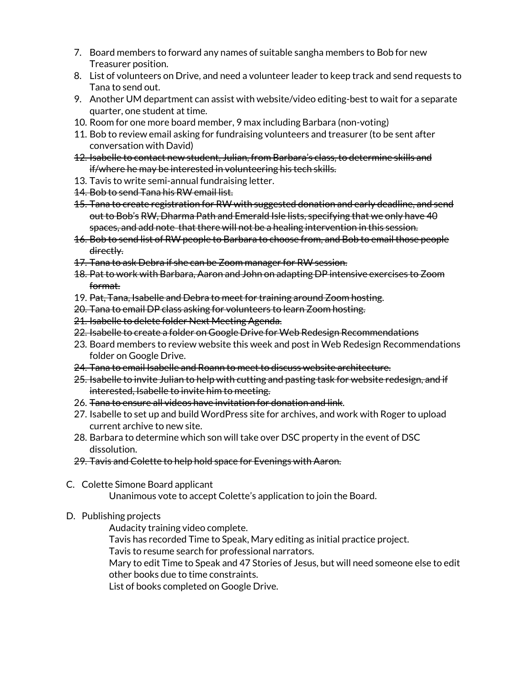- 7. Board members to forward any names of suitable sangha members to Bob for new Treasurer position.
- 8. List of volunteers on Drive, and need a volunteer leader to keep track and send requests to Tana to send out.
- 9. Another UM department can assist with website/video editing-best to wait for a separate quarter, one student at time.
- 10. Room for one more board member, 9 max including Barbara (non-voting)
- 11. Bob to review email asking for fundraising volunteers and treasurer (to be sent after conversation with David)
- 12. Isabelle to contact new student, Julian, from Barbara's class, to determine skills and if/where he may be interested in volunteering his tech skills.
- 13. Tavis to write semi-annual fundraising letter.
- 14. Bob to send Tana his RW email list.
- 15. Tana to create registration for RW with suggested donation and early deadline, and send out to Bob's RW, Dharma Path and Emerald Isle lists, specifying that we only have 40 spaces, and add note that there will not be a healing intervention in this session.
- 16. Bob to send list of RW people to Barbara to choose from, and Bob to email those people directly.
- 17. Tana to ask Debra if she can be Zoom manager for RW session.
- 18. Pat to work with Barbara, Aaron and John on adapting DP intensive exercises to Zoom format.
- 19. Pat, Tana, Isabelle and Debra to meet for training around Zoom hosting.
- 20. Tana to email DP class asking for volunteers to learn Zoom hosting.
- 21. Isabelle to delete folder Next Meeting Agenda.
- 22. Isabelle to create a folder on Google Drive for Web Redesign Recommendations
- 23. Board members to review website this week and post in Web Redesign Recommendations folder on Google Drive.
- 24. Tana to email Isabelle and Roann to meet to discuss website architecture.
- 25. Isabelle to invite Julian to help with cutting and pasting task for website redesign, and if interested, Isabelle to invite him to meeting.
- 26. Tana to ensure all videos have invitation for donation and link.
- 27. Isabelle to set up and build WordPress site for archives, and work with Roger to upload current archive to new site.
- 28. Barbara to determine which son will take over DSC property in the event of DSC dissolution.
- 29. Tavis and Colette to help hold space for Evenings with Aaron.
- C. Colette Simone Board applicant

Unanimous vote to accept Colette's application to join the Board.

D. Publishing projects

Audacity training video complete.

Tavis has recorded Time to Speak, Mary editing as initial practice project.

Tavis to resume search for professional narrators.

Mary to edit Time to Speak and 47 Stories of Jesus, but will need someone else to edit other books due to time constraints.

List of books completed on Google Drive.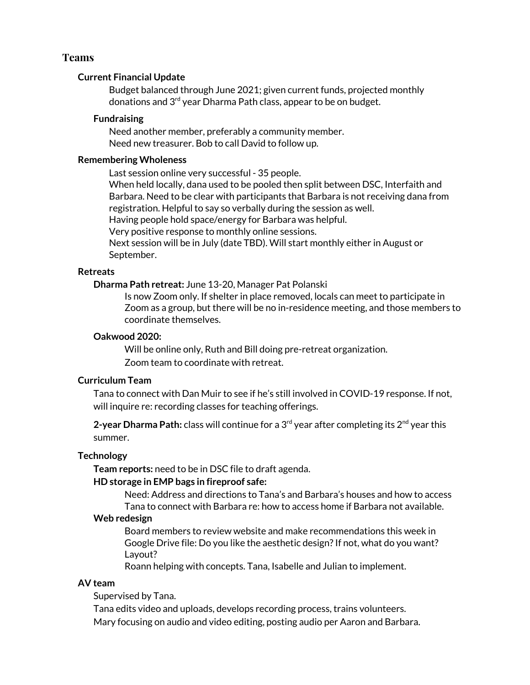#### **Teams**

#### **Current Financial Update**

Budget balanced through June 2021; given current funds, projected monthly donations and 3<sup>rd</sup> year Dharma Path class, appear to be on budget.

#### **Fundraising**

Need another member, preferably a community member. Need new treasurer. Bob to call David to follow up.

#### **Remembering Wholeness**

Last session online very successful - 35 people.

When held locally, dana used to be pooled then split between DSC, Interfaith and Barbara. Need to be clear with participants that Barbara is not receiving dana from registration. Helpful to say so verbally during the session as well.

Having people hold space/energy for Barbara was helpful.

Very positive response to monthly online sessions.

Next session will be in July (date TBD). Will start monthly either in August or September.

#### **Retreats**

**Dharma Path retreat:** June 13-20, Manager Pat Polanski

Is now Zoom only. If shelter in place removed, locals can meet to participate in Zoom as a group, but there will be no in-residence meeting, and those members to coordinate themselves.

#### **Oakwood 2020:**

Will be online only, Ruth and Bill doing pre-retreat organization. Zoom team to coordinate with retreat.

#### **Curriculum Team**

Tana to connect with Dan Muir to see if he's still involved in COVID-19 response. If not, will inquire re: recording classes for teaching offerings.

**2-year Dharma Path:** class will continue for a 3 rd year after completing its 2 nd year this summer.

#### **Technology**

**Team reports:** need to be in DSC file to draft agenda.

#### **HD storage in EMP bags in fireproof safe:**

Need: Address and directions to Tana's and Barbara's houses and how to access Tana to connect with Barbara re: how to access home if Barbara not available.

#### **Web redesign**

Board members to review website and make recommendations this week in Google Drive file: Do you like the aesthetic design?If not, what do you want? Layout?

Roann helping with concepts. Tana, Isabelle and Julian to implement.

#### **AV team**

Supervised by Tana.

Tana edits video and uploads, develops recording process, trains volunteers. Mary focusing on audio and video editing, posting audio per Aaron and Barbara.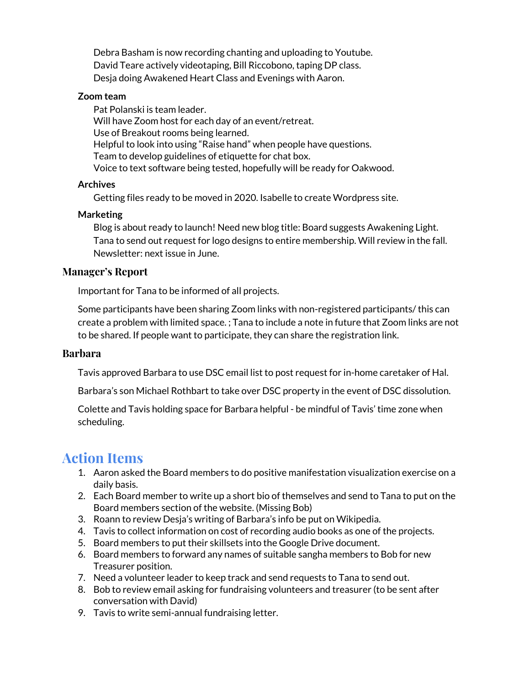Debra Basham is now recording chanting and uploading to Youtube. David Teare actively videotaping, Bill Riccobono, taping DP class. Desja doing Awakened Heart Class and Evenings with Aaron.

#### **Zoom team**

Pat Polanski is team leader. Will have Zoom host for each day of an event/retreat. Use of Breakout rooms being learned. Helpful to look into using "Raise hand" when people have questions. Team to develop guidelines of etiquette for chat box. Voice to text software being tested, hopefully will be ready for Oakwood.

## **Archives**

Getting files ready to be moved in 2020. Isabelle to create Wordpress site.

## **Marketing**

Blog is about ready to launch! Need new blog title: Board suggests Awakening Light. Tana to send out request for logo designs to entire membership. Will review in the fall. Newsletter: next issue in June.

## **Manager's Report**

Important for Tana to be informed of all projects.

Some participants have been sharing Zoom links with non-registered participants/ this can create a problem with limited space. ; Tana to include a note in future that Zoom links are not to be shared. If people want to participate, they can share the registration link.

## **Barbara**

Tavis approved Barbara to use DSC email list to post request for in-home caretaker of Hal.

Barbara's son Michael Rothbart to take over DSC property in the event of DSC dissolution.

Colette and Tavis holding space for Barbara helpful - be mindful of Tavis' time zone when scheduling.

# **Action Items**

- 1. Aaron asked the Board members to do positive manifestation visualization exercise on a daily basis.
- 2. Each Board member to write up a short bio of themselves and send to Tana to put on the Board members section of the website. (Missing Bob)
- 3. Roann to review Desja's writing of Barbara's info be put on Wikipedia.
- 4. Tavis to collect information on cost of recording audio books as one of the projects.
- 5. Board members to put their skillsets into the Google Drive document.
- 6. Board members to forward any names of suitable sangha members to Bob for new Treasurer position.
- 7. Need a volunteer leader to keep track and send requests to Tana to send out.
- 8. Bob to review email asking for fundraising volunteers and treasurer (to be sent after conversation with David)
- 9. Tavis to write semi-annual fundraising letter.